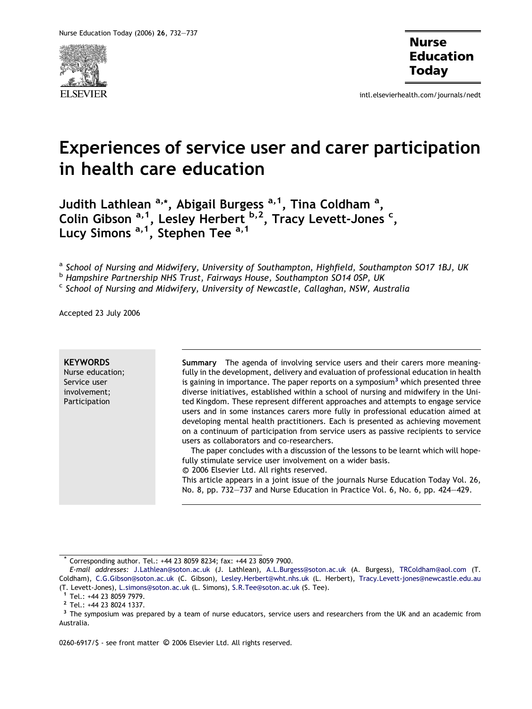

intl.elsevierhealth.com/journals/nedt

# Experiences of service user and carer participation in health care education

Judith Lathlean <sup>a,</sup>\*, Abigail Burgess <sup>a, 1</sup>, Tina Coldham <sup>a</sup>, Colin Gibson <sup>a, 1</sup>, Lesley Herbert <sup>b, 2</sup>, Tracy Levett-Jones <sup>c</sup>, Lucy Simons <sup>a, 1</sup>, Stephen Tee <sup>a, 1</sup>

a School of Nursing and Midwifery, University of Southampton, Highfield, Southampton SO17 1BJ, UK

<sup>b</sup> Hampshire Partnership NHS Trust, Fairways House, Southampton SO14 0SP, UK

 $\epsilon$  School of Nursing and Midwifery, University of Newcastle, Callaghan, NSW, Australia

Accepted 23 July 2006

**KEYWORDS** Nurse education; Service user involvement; Participation

Summary The agenda of involving service users and their carers more meaningfully in the development, delivery and evaluation of professional education in health is gaining in importance. The paper reports on a symposium<sup>3</sup> which presented three diverse initiatives, established within a school of nursing and midwifery in the United Kingdom. These represent different approaches and attempts to engage service users and in some instances carers more fully in professional education aimed at developing mental health practitioners. Each is presented as achieving movement on a continuum of participation from service users as passive recipients to service users as collaborators and co-researchers.

The paper concludes with a discussion of the lessons to be learnt which will hopefully stimulate service user involvement on a wider basis.

-c 2006 Elsevier Ltd. All rights reserved.

This article appears in a joint issue of the journals Nurse Education Today Vol. 26, No. 8, pp. 732–737 and Nurse Education in Practice Vol. 6, No. 6, pp. 424–429.

0260-6917/\$ - see front matter © 2006 Elsevier Ltd. All rights reserved.

<sup>\*</sup> Corresponding author. Tel.: +44 23 8059 8234; fax: +44 23 8059 7900.

E-mail addresses: [J.Lathlean@soton.ac.uk](mailto:J.Lathlean@soton.ac.uk) (J. Lathlean), [A.L.Burgess@soton.ac.uk](mailto:A.L.Burgess@soton.ac.uk) (A. Burgess), [TRColdham@aol.com](mailto:TRColdham@aol.com) (T. Coldham), [C.G.Gibson@soton.ac.uk](mailto:C.G.Gibson@soton.ac.uk) (C. Gibson), [Lesley.Herbert@wht.nhs.uk](mailto:Lesley.Herbert@wht.nhs.uk) (L. Herbert), [Tracy.Levett-jones@newcastle.edu.au](mailto:Tracy.Levett-jones@newcastle.edu.au)

<sup>(</sup>T. Levett-Jones), [L.simons@soton.ac.uk](mailto:L.simons@soton.ac.uk) (L. Simons), [S.R.Tee@soton.ac.uk](mailto:S.R.Tee@soton.ac.uk) (S. Tee).<br><sup>1</sup> Tel.: +44 23 8059 7979.<br><sup>2</sup> Tel.: +44 23 8024 1337.<br><sup>3</sup> The symposium was prepared by a team of nurse educators, service users and rese Australia.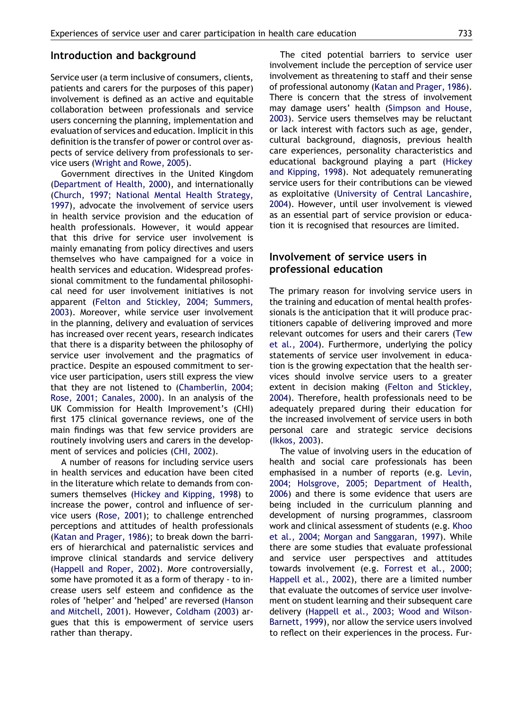#### Introduction and background

Service user (a term inclusive of consumers, clients, patients and carers for the purposes of this paper) involvement is defined as an active and equitable collaboration between professionals and service users concerning the planning, implementation and evaluation of services and education. Implicit in this definition is the transfer of power or control over aspects of service delivery from professionals to service users [\(Wright and Rowe, 2005\)](#page-5-0).

Government directives in the United Kingdom [\(Department of Health, 2000\)](#page-5-0), and internationally [\(Church, 1997; National Mental Health Strategy,](#page-5-0) [1997](#page-5-0)), advocate the involvement of service users in health service provision and the education of health professionals. However, it would appear that this drive for service user involvement is mainly emanating from policy directives and users themselves who have campaigned for a voice in health services and education. Widespread professional commitment to the fundamental philosophical need for user involvement initiatives is not apparent ([Felton and Stickley, 2004; Summers,](#page-5-0) [2003](#page-5-0)). Moreover, while service user involvement in the planning, delivery and evaluation of services has increased over recent years, research indicates that there is a disparity between the philosophy of service user involvement and the pragmatics of practice. Despite an espoused commitment to service user participation, users still express the view that they are not listened to [\(Chamberlin, 2004;](#page-5-0) [Rose, 2001; Canales, 2000](#page-5-0)). In an analysis of the UK Commission for Health Improvement's (CHI) first 175 clinical governance reviews, one of the main findings was that few service providers are routinely involving users and carers in the development of services and policies ([CHI, 2002\)](#page-5-0).

A number of reasons for including service users in health services and education have been cited in the literature which relate to demands from consumers themselves [\(Hickey and Kipping, 1998](#page-5-0)) to increase the power, control and influence of service users [\(Rose, 2001](#page-5-0)); to challenge entrenched perceptions and attitudes of health professionals [\(Katan and Prager, 1986](#page-5-0)); to break down the barriers of hierarchical and paternalistic services and improve clinical standards and service delivery [\(Happell and Roper, 2002\)](#page-5-0). More controversially, some have promoted it as a form of therapy - to increase users self esteem and confidence as the roles of 'helper' and 'helped' are reversed ([Hanson](#page-5-0) [and Mitchell, 2001\)](#page-5-0). However, [Coldham \(2003\)](#page-5-0) argues that this is empowerment of service users rather than therapy.

The cited potential barriers to service user involvement include the perception of service user involvement as threatening to staff and their sense of professional autonomy ([Katan and Prager, 1986\)](#page-5-0). There is concern that the stress of involvement may damage users' health [\(Simpson and House,](#page-5-0) [2003\)](#page-5-0). Service users themselves may be reluctant or lack interest with factors such as age, gender, cultural background, diagnosis, previous health care experiences, personality characteristics and educational background playing a part [\(Hickey](#page-5-0) [and Kipping, 1998\)](#page-5-0). Not adequately remunerating service users for their contributions can be viewed as exploitative [\(University of Central Lancashire,](#page-5-0) [2004\)](#page-5-0). However, until user involvement is viewed as an essential part of service provision or education it is recognised that resources are limited.

## Involvement of service users in professional education

The primary reason for involving service users in the training and education of mental health professionals is the anticipation that it will produce practitioners capable of delivering improved and more relevant outcomes for users and their carers [\(Tew](#page-5-0) [et al., 2004](#page-5-0)). Furthermore, underlying the policy statements of service user involvement in education is the growing expectation that the health services should involve service users to a greater extent in decision making [\(Felton and Stickley,](#page-5-0) [2004\)](#page-5-0). Therefore, health professionals need to be adequately prepared during their education for the increased involvement of service users in both personal care and strategic service decisions [\(Ikkos, 2003](#page-5-0)).

The value of involving users in the education of health and social care professionals has been emphasised in a number of reports (e.g. [Levin,](#page-5-0) [2004; Holsgrove, 2005; Department of Health,](#page-5-0) [2006\)](#page-5-0) and there is some evidence that users are being included in the curriculum planning and development of nursing programmes, classroom work and clinical assessment of students (e.g. [Khoo](#page-5-0) [et al., 2004; Morgan and Sanggaran, 1997\)](#page-5-0). While there are some studies that evaluate professional and service user perspectives and attitudes towards involvement (e.g. [Forrest et al., 2000;](#page-5-0) [Happell et al., 2002\)](#page-5-0), there are a limited number that evaluate the outcomes of service user involvement on student learning and their subsequent care delivery [\(Happell et al., 2003; Wood and Wilson-](#page-5-0)[Barnett, 1999](#page-5-0)), nor allow the service users involved to reflect on their experiences in the process. Fur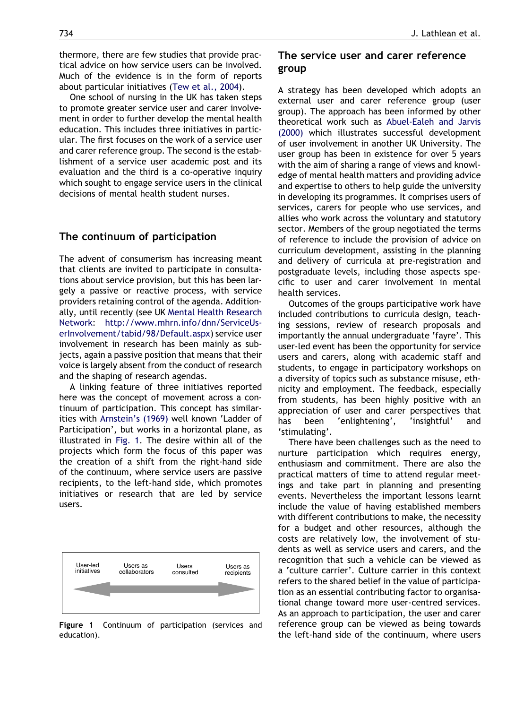<span id="page-2-0"></span>thermore, there are few studies that provide practical advice on how service users can be involved. Much of the evidence is in the form of reports about particular initiatives [\(Tew et al., 2004](#page-5-0)).

One school of nursing in the UK has taken steps to promote greater service user and carer involvement in order to further develop the mental health education. This includes three initiatives in particular. The first focuses on the work of a service user and carer reference group. The second is the establishment of a service user academic post and its evaluation and the third is a co-operative inquiry which sought to engage service users in the clinical decisions of mental health student nurses.

#### The continuum of participation

The advent of consumerism has increasing meant that clients are invited to participate in consultations about service provision, but this has been largely a passive or reactive process, with service providers retaining control of the agenda. Additionally, until recently (see UK [Mental Health Research](#page-5-0) [Network:](#page-5-0) [http://www.mhrn.info/dnn/ServiceUs](http://www.mhrn.info/dnn/ServiceUserInvolvement/tabid/98/Default.aspx)[erInvolvement/tabid/98/Default.aspx\)](http://www.mhrn.info/dnn/ServiceUserInvolvement/tabid/98/Default.aspx) service user involvement in research has been mainly as subjects, again a passive position that means that their voice is largely absent from the conduct of research and the shaping of research agendas.

A linking feature of three initiatives reported here was the concept of movement across a continuum of participation. This concept has similarities with [Arnstein's \(1969\)](#page-5-0) well known 'Ladder of Participation', but works in a horizontal plane, as illustrated in Fig. 1. The desire within all of the projects which form the focus of this paper was the creation of a shift from the right-hand side of the continuum, where service users are passive recipients, to the left-hand side, which promotes initiatives or research that are led by service users.



Figure 1 Continuum of participation (services and education).

## The service user and carer reference group

A strategy has been developed which adopts an external user and carer reference group (user group). The approach has been informed by other theoretical work such as [Abuel-Ealeh and Jarvis](#page-5-0) [\(2000\)](#page-5-0) which illustrates successful development of user involvement in another UK University. The user group has been in existence for over 5 years with the aim of sharing a range of views and knowledge of mental health matters and providing advice and expertise to others to help guide the university in developing its programmes. It comprises users of services, carers for people who use services, and allies who work across the voluntary and statutory sector. Members of the group negotiated the terms of reference to include the provision of advice on curriculum development, assisting in the planning and delivery of curricula at pre-registration and postgraduate levels, including those aspects specific to user and carer involvement in mental health services.

Outcomes of the groups participative work have included contributions to curricula design, teaching sessions, review of research proposals and importantly the annual undergraduate 'fayre'. This user-led event has been the opportunity for service users and carers, along with academic staff and students, to engage in participatory workshops on a diversity of topics such as substance misuse, ethnicity and employment. The feedback, especially from students, has been highly positive with an appreciation of user and carer perspectives that has been 'enlightening', 'insightful' and 'stimulating'.

There have been challenges such as the need to nurture participation which requires energy, enthusiasm and commitment. There are also the practical matters of time to attend regular meetings and take part in planning and presenting events. Nevertheless the important lessons learnt include the value of having established members with different contributions to make, the necessity for a budget and other resources, although the costs are relatively low, the involvement of students as well as service users and carers, and the recognition that such a vehicle can be viewed as a 'culture carrier'. Culture carrier in this context refers to the shared belief in the value of participation as an essential contributing factor to organisational change toward more user-centred services. As an approach to participation, the user and carer reference group can be viewed as being towards the left-hand side of the continuum, where users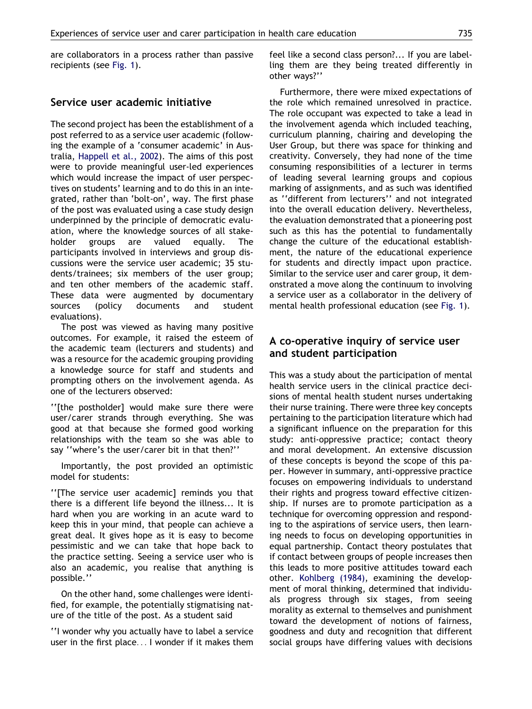are collaborators in a process rather than passive recipients (see [Fig. 1](#page-2-0)).

## Service user academic initiative

The second project has been the establishment of a post referred to as a service user academic (following the example of a 'consumer academic' in Australia, [Happell et al., 2002\)](#page-5-0). The aims of this post were to provide meaningful user-led experiences which would increase the impact of user perspectives on students' learning and to do this in an integrated, rather than 'bolt-on', way. The first phase of the post was evaluated using a case study design underpinned by the principle of democratic evaluation, where the knowledge sources of all stakeholder groups are valued equally. The participants involved in interviews and group discussions were the service user academic; 35 students/trainees; six members of the user group; and ten other members of the academic staff. These data were augmented by documentary sources (policy documents and student evaluations).

The post was viewed as having many positive outcomes. For example, it raised the esteem of the academic team (lecturers and students) and was a resource for the academic grouping providing a knowledge source for staff and students and prompting others on the involvement agenda. As one of the lecturers observed:

''[the postholder] would make sure there were user/carer strands through everything. She was good at that because she formed good working relationships with the team so she was able to say ''where's the user/carer bit in that then?''

Importantly, the post provided an optimistic model for students:

''[The service user academic] reminds you that there is a different life beyond the illness... It is hard when you are working in an acute ward to keep this in your mind, that people can achieve a great deal. It gives hope as it is easy to become pessimistic and we can take that hope back to the practice setting. Seeing a service user who is also an academic, you realise that anything is possible.''

On the other hand, some challenges were identified, for example, the potentially stigmatising nature of the title of the post. As a student said

''I wonder why you actually have to label a service user in the first place... I wonder if it makes them feel like a second class person?... If you are labelling them are they being treated differently in other ways?''

Furthermore, there were mixed expectations of the role which remained unresolved in practice. The role occupant was expected to take a lead in the involvement agenda which included teaching, curriculum planning, chairing and developing the User Group, but there was space for thinking and creativity. Conversely, they had none of the time consuming responsibilities of a lecturer in terms of leading several learning groups and copious marking of assignments, and as such was identified as ''different from lecturers'' and not integrated into the overall education delivery. Nevertheless, the evaluation demonstrated that a pioneering post such as this has the potential to fundamentally change the culture of the educational establishment, the nature of the educational experience for students and directly impact upon practice. Similar to the service user and carer group, it demonstrated a move along the continuum to involving a service user as a collaborator in the delivery of mental health professional education (see [Fig. 1](#page-2-0)).

## A co-operative inquiry of service user and student participation

This was a study about the participation of mental health service users in the clinical practice decisions of mental health student nurses undertaking their nurse training. There were three key concepts pertaining to the participation literature which had a significant influence on the preparation for this study: anti-oppressive practice; contact theory and moral development. An extensive discussion of these concepts is beyond the scope of this paper. However in summary, anti-oppressive practice focuses on empowering individuals to understand their rights and progress toward effective citizenship. If nurses are to promote participation as a technique for overcoming oppression and responding to the aspirations of service users, then learning needs to focus on developing opportunities in equal partnership. Contact theory postulates that if contact between groups of people increases then this leads to more positive attitudes toward each other. [Kohlberg \(1984\),](#page-5-0) examining the development of moral thinking, determined that individuals progress through six stages, from seeing morality as external to themselves and punishment toward the development of notions of fairness, goodness and duty and recognition that different social groups have differing values with decisions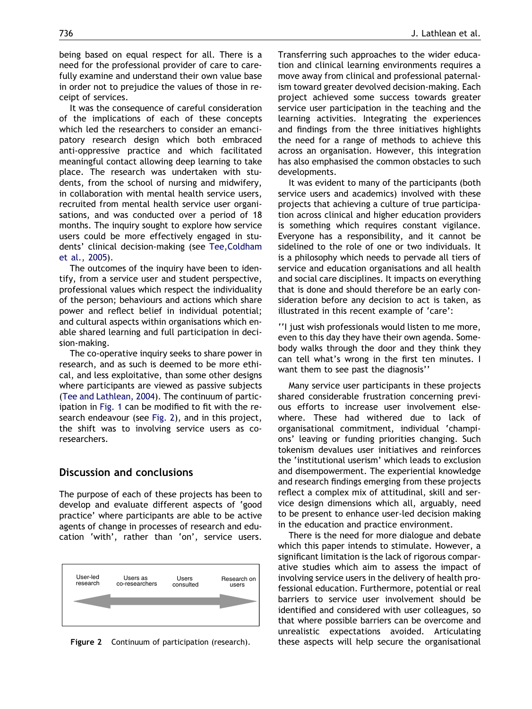being based on equal respect for all. There is a need for the professional provider of care to carefully examine and understand their own value base in order not to prejudice the values of those in receipt of services.

It was the consequence of careful consideration of the implications of each of these concepts which led the researchers to consider an emancipatory research design which both embraced anti-oppressive practice and which facilitated meaningful contact allowing deep learning to take place. The research was undertaken with students, from the school of nursing and midwifery, in collaboration with mental health service users, recruited from mental health service user organisations, and was conducted over a period of 18 months. The inquiry sought to explore how service users could be more effectively engaged in students' clinical decision-making (see [Tee,Coldham](#page-5-0) [et al., 2005\)](#page-5-0).

The outcomes of the inquiry have been to identify, from a service user and student perspective, professional values which respect the individuality of the person; behaviours and actions which share power and reflect belief in individual potential; and cultural aspects within organisations which enable shared learning and full participation in decision-making.

The co-operative inquiry seeks to share power in research, and as such is deemed to be more ethical, and less exploitative, than some other designs where participants are viewed as passive subjects ([Tee and Lathlean, 2004](#page-5-0)). The continuum of participation in [Fig. 1](#page-2-0) can be modified to fit with the research endeavour (see Fig. 2), and in this project, the shift was to involving service users as coresearchers.

#### Discussion and conclusions

The purpose of each of these projects has been to develop and evaluate different aspects of 'good practice' where participants are able to be active agents of change in processes of research and education 'with', rather than 'on', service users.



Figure 2 Continuum of participation (research).

Transferring such approaches to the wider education and clinical learning environments requires a move away from clinical and professional paternalism toward greater devolved decision-making. Each project achieved some success towards greater service user participation in the teaching and the learning activities. Integrating the experiences and findings from the three initiatives highlights the need for a range of methods to achieve this across an organisation. However, this integration has also emphasised the common obstacles to such developments.

It was evident to many of the participants (both service users and academics) involved with these projects that achieving a culture of true participation across clinical and higher education providers is something which requires constant vigilance. Everyone has a responsibility, and it cannot be sidelined to the role of one or two individuals. It is a philosophy which needs to pervade all tiers of service and education organisations and all health and social care disciplines. It impacts on everything that is done and should therefore be an early consideration before any decision to act is taken, as illustrated in this recent example of 'care':

''I just wish professionals would listen to me more, even to this day they have their own agenda. Somebody walks through the door and they think they can tell what's wrong in the first ten minutes. I want them to see past the diagnosis''

Many service user participants in these projects shared considerable frustration concerning previous efforts to increase user involvement elsewhere. These had withered due to lack of organisational commitment, individual 'champions' leaving or funding priorities changing. Such tokenism devalues user initiatives and reinforces the 'institutional userism' which leads to exclusion and disempowerment. The experiential knowledge and research findings emerging from these projects reflect a complex mix of attitudinal, skill and service design dimensions which all, arguably, need to be present to enhance user-led decision making in the education and practice environment.

There is the need for more dialogue and debate which this paper intends to stimulate. However, a significant limitation is the lack of rigorous comparative studies which aim to assess the impact of involving service users in the delivery of health professional education. Furthermore, potential or real barriers to service user involvement should be identified and considered with user colleagues, so that where possible barriers can be overcome and unrealistic expectations avoided. Articulating these aspects will help secure the organisational